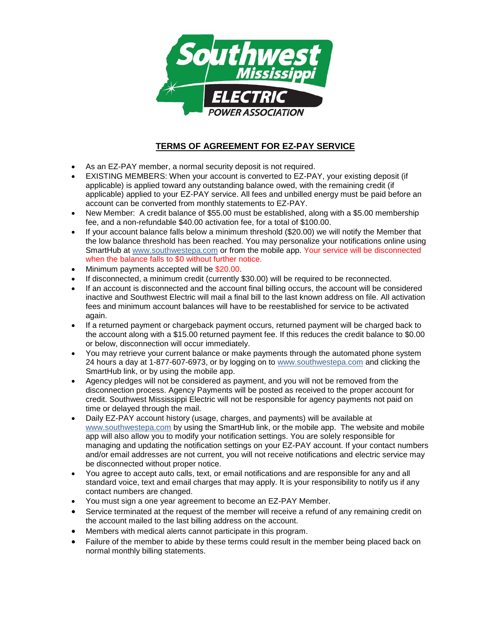

## **TERMS OF AGREEMENT FOR EZ-PAY SERVICE**

- As an EZ-PAY member, a normal security deposit is not required.
- EXISTING MEMBERS: When your account is converted to EZ-PAY, your existing deposit (if applicable) is applied toward any outstanding balance owed, with the remaining credit (if applicable) applied to your EZ-PAY service. All fees and unbilled energy must be paid before an account can be converted from monthly statements to EZ-PAY.
- New Member: A credit balance of \$55.00 must be established, along with a \$5.00 membership fee, and a non-refundable \$40.00 activation fee, for a total of \$100.00.
- If your account balance falls below a minimum threshold (\$20.00) we will notify the Member that the low balance threshold has been reached. You may personalize your notifications online using SmartHub at [www.southwestepa.com](http://www.southwestepa.com/) or from the mobile app. Your service will be disconnected when the balance falls to \$0 without further notice.
- Minimum payments accepted will be \$20.00.
- If disconnected, a minimum credit (currently \$30.00) will be required to be reconnected.
- If an account is disconnected and the account final billing occurs, the account will be considered inactive and Southwest Electric will mail a final bill to the last known address on file. All activation fees and minimum account balances will have to be reestablished for service to be activated again.
- If a returned payment or chargeback payment occurs, returned payment will be charged back to the account along with a \$15.00 returned payment fee. If this reduces the credit balance to \$0.00 or below, disconnection will occur immediately.
- You may retrieve your current balance or make payments through the automated phone system 24 hours a day at 1-877-607-6973, or by logging on to [www.southwestepa.com](http://www.southwestepa.com/) and clicking the SmartHub link, or by using the mobile app.
- Agency pledges will not be considered as payment, and you will not be removed from the disconnection process. Agency Payments will be posted as received to the proper account for credit. Southwest Mississippi Electric will not be responsible for agency payments not paid on time or delayed through the mail.
- Daily EZ-PAY account history (usage, charges, and payments) will be available at www.southwestepa.com by using the SmartHub link, or the mobile app. The website and mobile app will also allow you to modify your notification settings. You are solely responsible for managing and updating the notification settings on your EZ-PAY account. If your contact numbers and/or email addresses are not current, you will not receive notifications and electric service may be disconnected without proper notice.
- You agree to accept auto calls, text, or email notifications and are responsible for any and all standard voice, text and email charges that may apply. It is your responsibility to notify us if any contact numbers are changed.
- You must sign a one year agreement to become an EZ-PAY Member.
- Service terminated at the request of the member will receive a refund of any remaining credit on the account mailed to the last billing address on the account.
- Members with medical alerts cannot participate in this program.
- Failure of the member to abide by these terms could result in the member being placed back on normal monthly billing statements.